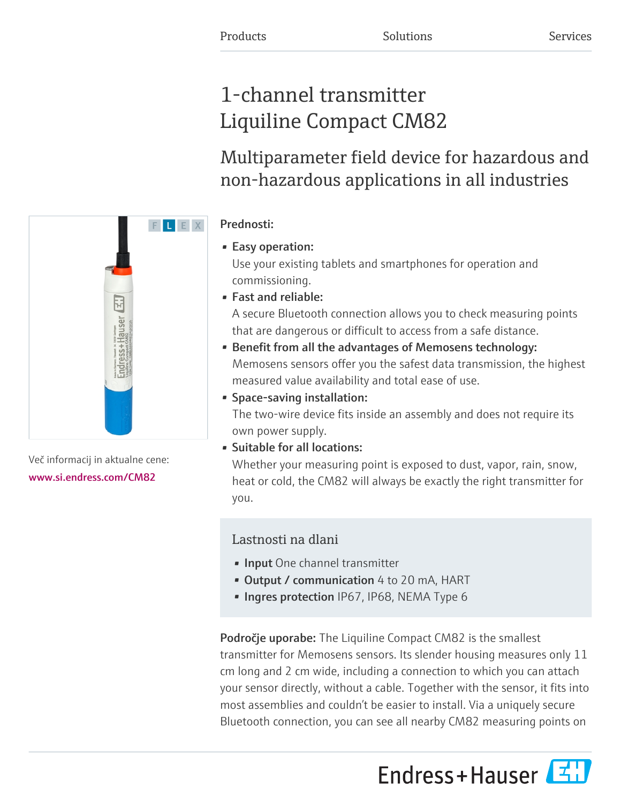# 1-channel transmitter Liquiline Compact CM82

Multiparameter field device for hazardous and non-hazardous applications in all industries

# Prednosti:

# • Easy operation:

Use your existing tablets and smartphones for operation and commissioning.

• Fast and reliable:

A secure Bluetooth connection allows you to check measuring points that are dangerous or difficult to access from a safe distance.

- Benefit from all the advantages of Memosens technology: Memosens sensors offer you the safest data transmission, the highest measured value availability and total ease of use.
- Space-saving installation:

The two-wire device fits inside an assembly and does not require its own power supply.

• Suitable for all locations:

Whether your measuring point is exposed to dust, vapor, rain, snow, heat or cold, the CM82 will always be exactly the right transmitter for you.

# Lastnosti na dlani

- **· Input** One channel transmitter
- Output / communication 4 to 20 mA, HART
- Ingres protection IP67, IP68, NEMA Type 6

Področje uporabe: The Liquiline Compact CM82 is the smallest transmitter for Memosens sensors. Its slender housing measures only 11 cm long and 2 cm wide, including a connection to which you can attach your sensor directly, without a cable. Together with the sensor, it fits into most assemblies and couldn't be easier to install. Via a uniquely secure Bluetooth connection, you can see all nearby CM82 measuring points on





Več informacij in aktualne cene: [www.si.endress.com/CM82](https://www.si.endress.com/CM82)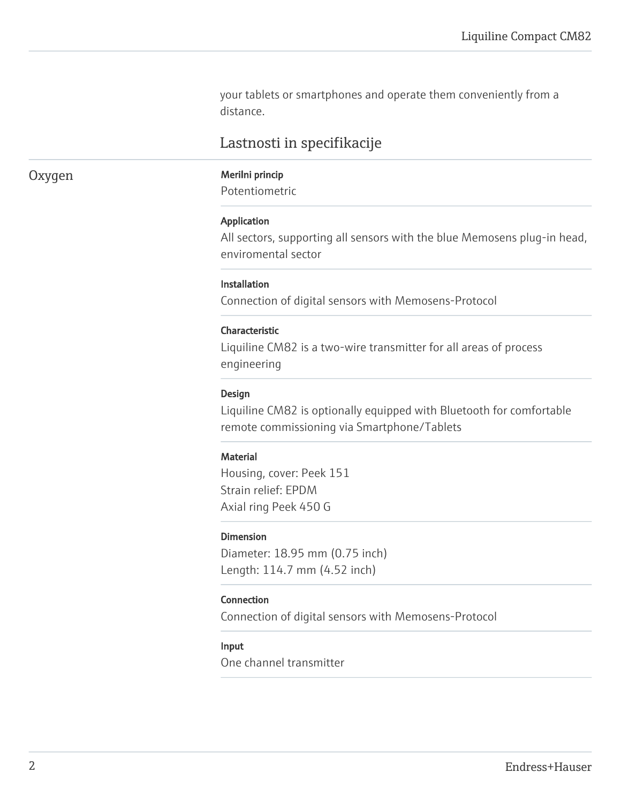your tablets or smartphones and operate them conveniently from a distance.

# Lastnosti in specifikacije

# Oxygen Merilni princip

Potentiometric

#### Application

All sectors, supporting all sensors with the blue Memosens plug-in head, enviromental sector

#### Installation

Connection of digital sensors with Memosens-Protocol

#### Characteristic

Liquiline CM82 is a two-wire transmitter for all areas of process engineering

#### Design

Liquiline CM82 is optionally equipped with Bluetooth for comfortable remote commissioning via Smartphone/Tablets

#### **Material**

Housing, cover: Peek 151 Strain relief: EPDM Axial ring Peek 450 G

#### Dimension

Diameter: 18.95 mm (0.75 inch) Length: 114.7 mm (4.52 inch)

#### Connection

Connection of digital sensors with Memosens-Protocol

#### Input

One channel transmitter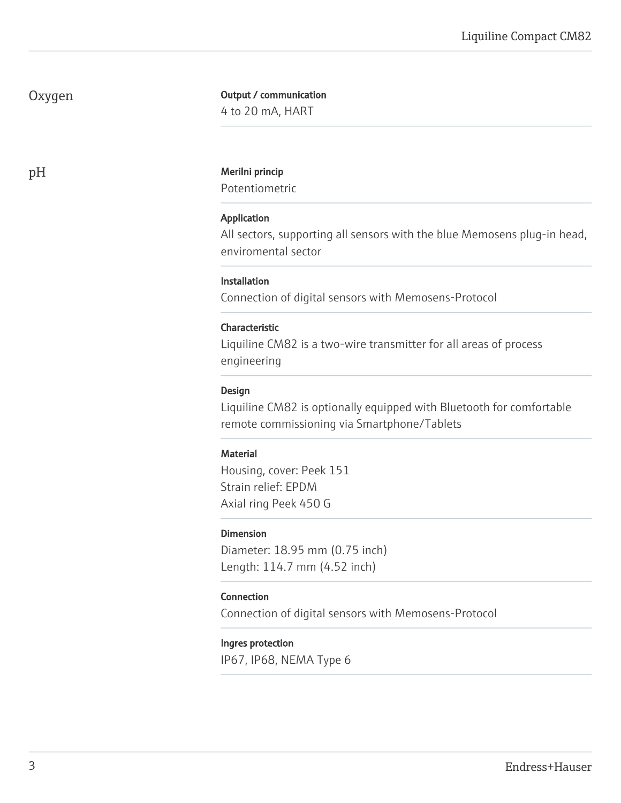# Oxygen

## Output / communication

4 to 20 mA, HART

#### pH Merilni princip

Potentiometric

### Application

All sectors, supporting all sensors with the blue Memosens plug-in head, enviromental sector

### **Installation**

Connection of digital sensors with Memosens-Protocol

#### Characteristic

Liquiline CM82 is a two-wire transmitter for all areas of process engineering

#### Design

Liquiline CM82 is optionally equipped with Bluetooth for comfortable remote commissioning via Smartphone/Tablets

### **Material**

Housing, cover: Peek 151 Strain relief: EPDM Axial ring Peek 450 G

### Dimension

Diameter: 18.95 mm (0.75 inch) Length: 114.7 mm (4.52 inch)

### Connection

Connection of digital sensors with Memosens-Protocol

#### Ingres protection

IP67, IP68, NEMA Type 6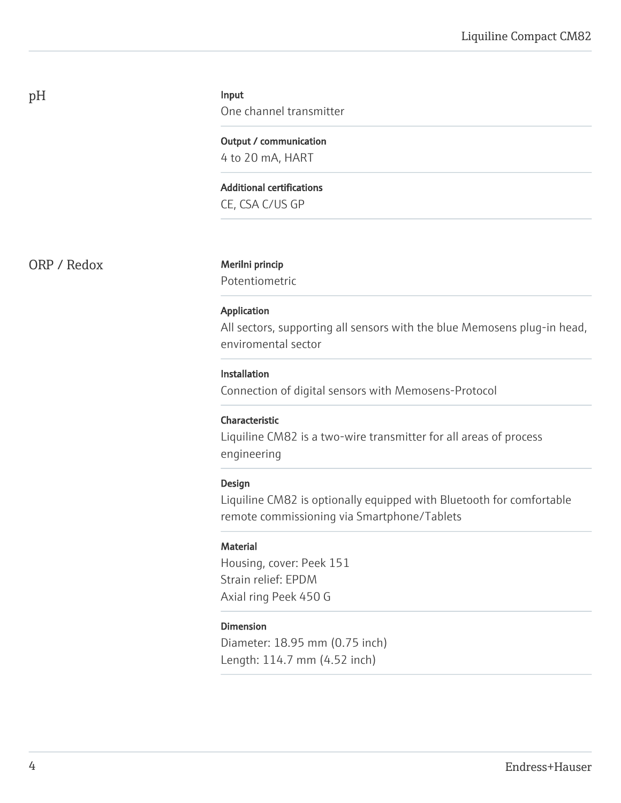#### Input

One channel transmitter

Output / communication 4 to 20 mA, HART

Additional certifications

CE, CSA C/US GP

ORP / Redox Merilni princip

Potentiometric

#### Application

All sectors, supporting all sensors with the blue Memosens plug-in head, enviromental sector

#### Installation

Connection of digital sensors with Memosens-Protocol

### Characteristic

Liquiline CM82 is a two-wire transmitter for all areas of process engineering

#### Design

Liquiline CM82 is optionally equipped with Bluetooth for comfortable remote commissioning via Smartphone/Tablets

#### **Material**

Housing, cover: Peek 151 Strain relief: EPDM Axial ring Peek 450 G

### Dimension

Diameter: 18.95 mm (0.75 inch) Length: 114.7 mm (4.52 inch)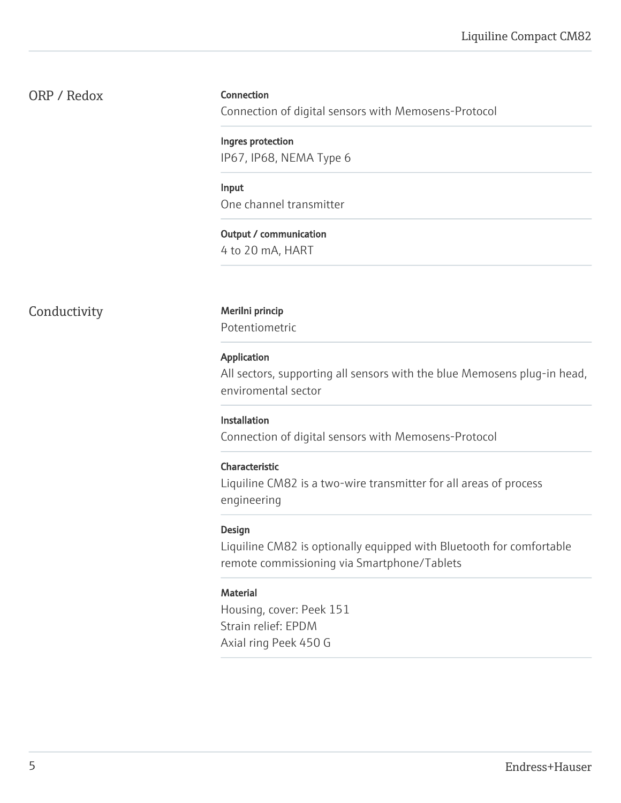# ORP / Redox

#### Connection

Connection of digital sensors with Memosens-Protocol

Ingres protection IP67, IP68, NEMA Type 6

Input One channel transmitter

Output / communication 4 to 20 mA, HART

# Conductivity Merilni princip

Potentiometric

#### Application

All sectors, supporting all sensors with the blue Memosens plug-in head, enviromental sector

#### Installation

Connection of digital sensors with Memosens-Protocol

#### Characteristic

Liquiline CM82 is a two-wire transmitter for all areas of process engineering

#### Design

Liquiline CM82 is optionally equipped with Bluetooth for comfortable remote commissioning via Smartphone/Tablets

### Material

Housing, cover: Peek 151 Strain relief: EPDM Axial ring Peek 450 G